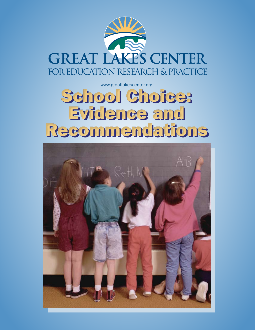

# School Choice: School Choice: Evidence and Evidence and Recommendations Recommendations www.greatlakescenter.org

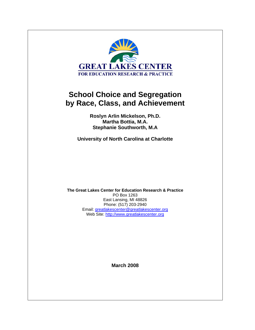

**Roslyn Arlin Mickelson, Ph.D. Martha Bottia, M.A. Stephanie Southworth, M.A** 

**University of North Carolina at Charlotte** 

**The Great Lakes Center for Education Research & Practice**  PO Box 1263 East Lansing, MI 48826 Phone: (517) 203-2940 Email: greatlakescenter@greatlakescenter.org Web Site: http://www.greatlakescenter.org

**March 2008**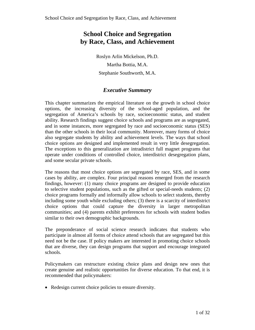Roslyn Arlin Mickelson, Ph.D. Martha Bottia, M.A. Stephanie Southworth, M.A.

# *Executive Summary*

This chapter summarizes the empirical literature on the growth in school choice options, the increasing diversity of the school-aged population, and the segregation of America's schools by race, socioeconomic status, and student ability. Research findings suggest choice schools and programs are as segregated, and in some instances, more segregated by race and socioeconomic status (SES) than the other schools in their local community. Moreover, many forms of choice also segregate students by ability and achievement levels. The ways that school choice options are designed and implemented result in very little desegregation. The exceptions to this generalization are intradistrict full magnet programs that operate under conditions of controlled choice, interdistrict desegregation plans, and some secular private schools.

The reasons that most choice options are segregated by race, SES, and in some cases by ability, are complex. Four principal reasons emerged from the research findings, however: (1) many choice programs are designed to provide education to selective student populations, such as the gifted or special-needs students; (2) choice programs formally and informally allow schools to select students, thereby including some youth while excluding others; (3) there is a scarcity of interdistrict choice options that could capture the diversity in larger metropolitan communities; and (4) parents exhibit preferences for schools with student bodies similar to their own demographic backgrounds.

The preponderance of social science research indicates that students who participate in almost all forms of choice attend schools that are segregated but this need not be the case. If policy makers are interested in promoting choice schools that are diverse, they can design programs that support and encourage integrated schools.

Policymakers can restructure existing choice plans and design new ones that create genuine and realistic opportunities for diverse education. To that end, it is recommended that policymakers:

• Redesign current choice policies to ensure diversity.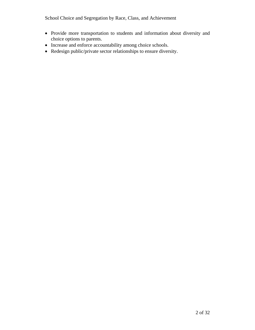- Provide more transportation to students and information about diversity and choice options to parents.
- Increase and enforce accountability among choice schools.
- Redesign public/private sector relationships to ensure diversity.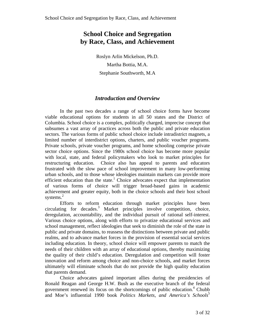Roslyn Arlin Mickelson, Ph.D. Martha Bottia, M.A. Stephanie Southworth, M.A

# *Introduction and Overview*

In the past two decades a range of school choice forms have become viable educational options for students in all 50 states and the District of Columbia. School choice is a complex, politically charged, imprecise concept that subsumes a vast array of practices across both the public and private education sectors. The various forms of public school choice include intradistrict magnets, a limited number of interdistrict options, charters, and public voucher programs. Private schools, private voucher programs, and home schooling comprise private sector choice options. Since the 1980s school choice has become more popular with local, state, and federal policymakers who look to market principles for restructuring education. Choice also has appeal to parents and educators frustrated with the slow pace of school improvement in many low-performing urban schools, and to those whose ideologies maintain markets can provide more efficient education than the state.<sup>1</sup> Choice advocates expect that implementation of various forms of choice will trigger broad-based gains in academic achievement and greater equity, both in the choice schools and their host school systems. $2$ 

Efforts to reform education through market principles have been circulating for decades.3 Market principles involve competition, choice, deregulation, accountability, and the individual pursuit of rational self-interest. Various choice options, along with efforts to privatize educational services and school management, reflect ideologies that seek to diminish the role of the state in public and private domains, to reassess the distinctions between private and public realms, and to advance market forces in the provision of essential social services including education. In theory, school choice will empower parents to match the needs of their children with an array of educational options, thereby maximizing the quality of their child's education. Deregulation and competition will foster innovation and reform among choice and non-choice schools, and market forces ultimately will eliminate schools that do not provide the high quality education that parents demand.

Choice advocates gained important allies during the presidencies of Ronald Reagan and George H.W. Bush as the executive branch of the federal government renewed its focus on the shortcomings of public education.4 Chubb and Moe's influential 1990 book *Politics Markets, and America's Schools*<sup>5</sup>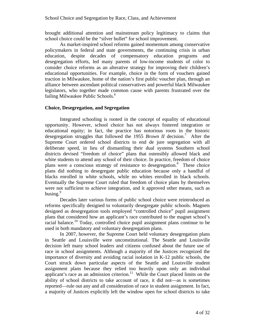brought additional attention and mainstream policy legitimacy to claims that school choice could be the "silver bullet" for school improvement.

As market-inspired school reforms gained momentum among conservative policymakers in federal and state governments, the continuing crisis in urban education, despite decades of compensatory education programs and desegregation efforts, led many parents of low-income students of color to consider choice reforms as an alterative strategy for improving their children's educational opportunities. For example, choice in the form of vouchers gained traction in Milwaukee, home of the nation's first public voucher plan, through an alliance between ascendant political conservatives and powerful black Milwaukee legislators, who together made common cause with parents frustrated over the failing Milwaukee Public Schools.<sup>6</sup>

#### **Choice, Desegregation, and Segregation**

Integrated schooling is rooted in the concept of equality of educational opportunity. However, school choice has not always fostered integration or educational equity; in fact, the practice has notorious roots in the historic desegregation struggles that followed the 1955 *Brown II* decision.7 After the Supreme Court ordered school districts to end de jure segregation with all deliberate speed, in lieu of dismantling their dual systems Southern school districts devised "freedom of choice" plans that ostensibly allowed black and white students to attend any school of their choice. In practice, freedom of choice plans were a conscious strategy of resistance to desegregation.<sup>8</sup> These choice plans did nothing to desegregate public education because only a handful of blacks enrolled in white schools, while no whites enrolled in black schools. Eventually the Supreme Court ruled that freedom of choice plans by themselves were not sufficient to achieve integration, and it approved other means, such as busing. $9$ 

Decades later various forms of public school choice were reintroduced as reforms specifically designed to voluntarily desegregate public schools. Magnets designed as desegregation tools employed "controlled choice" pupil assignment plans that considered how an applicant's race contributed to the magnet school's racial balance.<sup>10</sup> Today, controlled choice pupil assignment plans continue to be used in both mandatory and voluntary desegregation plans.

In 2007, however, the Supreme Court held voluntary desegregation plans in Seattle and Louisville were unconstitutional. The Seattle and Louisville decision left many school leaders and citizens confused about the future use of race in school assignments. Although a majority of the Justices recognized the importance of diversity and avoiding racial isolation in K-12 public schools, the Court struck down particular aspects of the Seattle and Louisville student assignment plans because they relied too heavily upon only an individual applicant's race as an admission criterion.<sup>11</sup> While the Court placed limits on the ability of school districts to take account of race, it did not—as is sometimes reported—rule out any and all consideration of race in student assignment. In fact, a majority of Justices explicitly left the window open for school districts to take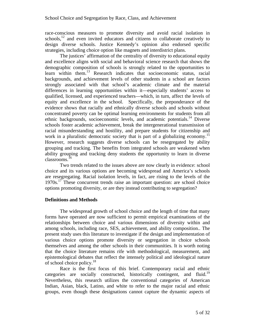race-conscious measures to promote diversity and avoid racial isolation in schools, $^{12}$  and even invited educators and citizens to collaborate creatively to design diverse schools. Justice Kennedy's opinion also endorsed specific strategies, including choice option like magnets and interdistrict plans.

The justices' affirmation of the centrality of diversity to educational equity and excellence aligns with social and behavioral science research that shows the demographic composition of schools is strongly related to the opportunities to learn within them.<sup>13</sup> Research indicates that socioeconomic status, racial backgrounds, and achievement levels of other students in a school are factors strongly associated with that school's academic climate and the material differences in learning opportunities within it—especially students' access to qualified, licensed, and experienced teachers—which, in turn, affect the levels of equity and excellence in the school. Specifically, the preponderance of the evidence shows that racially and ethnically diverse schools and schools without concentrated poverty can be optimal learning environments for students from all ethnic backgrounds, socioeconomic levels, and academic potentials.<sup>14</sup> Diverse schools foster academic achievement, break the intergenerational transmission of racial misunderstanding and hostility, and prepare students for citizenship and work in a pluralistic democratic society that is part of a globalizing economy.<sup>15</sup> However, research suggests diverse schools can be resegregated by ability grouping and tracking. The benefits from integrated schools are weakened when ability grouping and tracking deny students the opportunity to learn in diverse classrooms.<sup>16</sup>

Two trends related to the issues above are now clearly in evidence: school choice and its various options are becoming widespread and America's schools are resegregating. Racial isolation levels, in fact, are rising to the levels of the  $1970s$ <sup>17</sup> These concurrent trends raise an important question: are school choice options promoting diversity, or are they instead contributing to segregation?

#### **Definitions and Methods**

The widespread growth of school choice and the length of time that many forms have operated are now sufficient to permit empirical examinations of the relationships between choice and various dimensions of diversity within and among schools, including race, SES, achievement, and ability composition.. The present study uses this literature to investigate if the design and implementation of various choice options promote diversity or segregation in choice schools themselves and among the other schools in their communities. It is worth noting that the choice literature remains rife with methodological, measurement, and epistemological debates that reflect the intensely political and ideological nature of school choice policy.<sup>18</sup>

Race is the first focus of this brief. Contemporary racial and ethnic categories are socially constructed, historically contingent, and fluid.<sup>19</sup> Nevertheless, this research utilizes the conventional categories of American Indian, Asian, black, Latino, and white to refer to the major racial and ethnic groups, even though these designations cannot capture the dynamic aspects of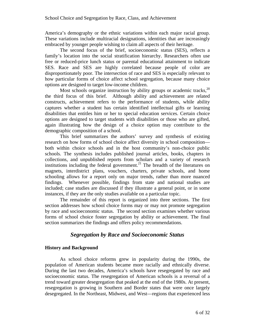America's demography or the ethnic variations within each major racial group. These variations include multiracial designations, identities that are increasingly embraced by younger people wishing to claim all aspects of their heritage.

The second focus of the brief, socioeconomic status (SES), reflects a family's location into the social stratification hierarchy. Researchers often use free or reduced-price lunch status or parental educational attainment to indicate SES. Race and SES are highly correlated because people of color are disproportionately poor. The intersection of race and SES is especially relevant to how particular forms of choice affect school segregation, because many choice options are designed to target low-income children.

Most schools organize instruction by ability groups or academic tracks,  $20$ the third focus of this brief. Although ability and achievement are related constructs, achievement refers to the performance of students, while ability captures whether a student has certain identified intellectual gifts or learning disabilities that entitles him or her to special education services. Certain choice options are designed to target students with disabilities or those who are gifted, again illustrating how the design of a choice option may contribute to the demographic composition of a school.

This brief summarizes the authors' survey and synthesis of existing research on how forms of school choice affect diversity in school composition both within choice schools and in the host community's non-choice public schools. The synthesis includes published journal articles, books, chapters in collections, and unpublished reports from scholars and a variety of research institutions including the federal government.<sup>21</sup> The breadth of the literatures on magnets, interdistrict plans, vouchers, charters, private schools, and home schooling allows for a report only on major trends, rather than more nuanced findings. Whenever possible, findings from state and national studies are included; case studies are discussed if they illustrate a general point, or in some instances, if they are the only studies available on a particular topic.

The remainder of this report is organized into three sections. The first section addresses how school choice forms may or may not promote segregation by race and socioeconomic status. The second section examines whether various forms of school choice foster segregation by ability or achievement. The final section summarizes the findings and offers policy recommendations.

# *Segregation by Race and Socioeconomic Status*

#### **History and Background**

As school choice reforms grew in popularity during the 1990s, the population of American students became more racially and ethnically diverse. During the last two decades, America's schools have resegregated by race and socioeconomic status. The resegregation of American schools is a reversal of a trend toward greater desegregation that peaked at the end of the 1980s. At present, resegregation is growing in Southern and Border states that were once largely desegregated. In the Northeast, Midwest, and West—regions that experienced less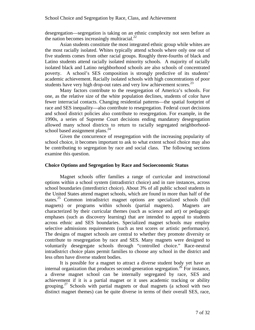desegregation—segregation is taking on an ethnic complexity not seen before as the nation becomes increasingly multiracial. $^{22}$ 

Asian students constitute the most integrated ethnic group while whites are the most racially isolated. Whites typically attend schools where only one out of five students comes from other racial groups. Roughly three-fourths of black and Latino students attend racially isolated minority schools. A majority of racially isolated black and Latino neighborhood schools are also schools of concentrated poverty. A school's SES composition is strongly predictive of its students' academic achievement. Racially isolated schools with high concentrations of poor students have very high drop-out rates and very low achievement scores.<sup>23</sup>

Many factors contribute to the resegregation of America's schools. For one, as the relative size of the white population declines, students of color have fewer interracial contacts. Changing residential patterns—the spatial footprint of race and SES inequality—also contribute to resegregation. Federal court decisions and school district policies also contribute to resegregation. For example, in the 1990s, a series of Supreme Court decisions ending mandatory desegregation allowed many school districts to return to racially segregated neighborhoodschool based assignment plans.<sup>24</sup>

Given the concurrence of resegregation with the increasing popularity of school choice, it becomes important to ask to what extent school choice may also be contributing to segregation by race and social class. The following sections examine this question.

#### **Choice Options and Segregation by Race and Socioeconomic Status**

Magnet schools offer families a range of curricular and instructional options within a school system (intradistrict choice) and in rare instances, across school boundaries (interdistrict choice). About 3% of all public school students in the United States attend magnet schools, which are found in more than half of the states.<sup>25</sup> Common intradistrict magnet options are specialized schools (full magnets) or programs within schools (partial magnets). Magnets are characterized by their curricular themes (such as science and art) or pedagogic emphases (such as discovery learning) that are intended to appeal to students across ethnic and SES boundaries. Specialized magnet schools may employ selective admissions requirements (such as test scores or artistic performance). The designs of magnet schools are central to whether they promote diversity or contribute to resegregation by race and SES. Many magnets were designed to voluntarily desegregate schools through "controlled choice." Race-neutral intradistrict choice plans permit families to choose any school in the district and less often have diverse student bodies.

It is possible for a magnet to attract a diverse student body yet have an internal organization that produces second-generation segregation.<sup>26</sup> For instance, a diverse magnet school can be internally segregated by race, SES and achievement if it is a partial magnet or it uses academic tracking or ability grouping.<sup>27</sup> Schools with partial magnets or dual magnets (a school with two distinct magnet themes) can be quite diverse in terms of their overall SES, race,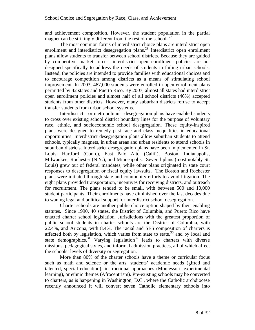and achievement composition. However, the student population in the partial magnet can be strikingly different from the rest of the school.  $^{28}$ 

The most common forms of interdistrict choice plans are interdistrict open enrollment and interdistrict desegregation plans.<sup>29</sup> Interdistrict open enrollment plans allow students to transfer between school districts. Because they are guided by competitive market forces, interdistrict open enrollment policies are not designed specifically to address the needs of students in failing urban schools. Instead, the policies are intended to provide families with educational choices and to encourage competition among districts as a means of stimulating school improvement. In 2003, 487,000 students were enrolled in open enrollment plans permitted by 42 states and Puerto Rico. By 2007, almost all states had interdistrict open enrollment policies and almost half of all school districts (46%) accepted students from other districts. However, many suburban districts refuse to accept transfer students from urban school systems.

Interdistrict—or metropolitan—desegregation plans have enabled students to cross over existing school district boundary lines for the purpose of voluntary race, ethnic, and socioeconomic school desegregation. These equity-inspired plans were designed to remedy past race and class inequalities in educational opportunities. Interdistrict desegregation plans allow suburban students to attend schools, typically magnets, in urban areas and urban residents to attend schools in suburban districts. Interdistrict desegregation plans have been implemented in St. Louis, Hartford (Conn.), East Palo Alto (Calif.), Boston, Indianapolis, Milwaukee, Rochester (N.Y.), and Minneapolis. Several plans (most notably St. Louis) grew out of federal mandates, while other plans originated in state court responses to desegregation or fiscal equity lawsuits. The Boston and Rochester plans were initiated through state and community efforts to avoid litigation. The eight plans provided transportation, incentives for receiving districts, and outreach for recruitment. The plans tended to be small, with between 500 and 10,000 student participants. Their enrollments have diminished over the last decades due to waning legal and political support for interdistrict school desegregation.

Charter schools are another public choice option shaped by their enabling statutes. Since 1990, 40 states, the District of Columbia, and Puerto Rico have enacted charter school legislation. Jurisdictions with the greatest proportion of public school students in charter schools are the District of Columbia, with 22.4%, and Arizona, with 8.4%. The racial and SES composition of charters is affected both by legislation, which varies from state to state, $30$  and by local and state demographics.<sup>31</sup> Varying legislation<sup>32</sup> leads to charters with diverse missions, pedagogical styles, and informal admission practices, all of which affect the schools' levels of diversity or segregation.

More than 80% of the charter schools have a theme or curricular focus such as math and science or the arts; students' academic needs (gifted and talented, special education); instructional approaches (Montessori, experimental learning), or ethnic themes (Afrocentrism). Pre-existing schools may be converted to charters, as is happening in Washington, D.C., where the Catholic archdiocese recently announced it will convert seven Catholic elementary schools into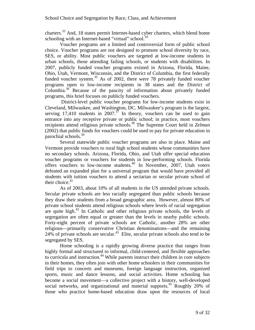charters.33 And, 18 states permit Internet-based cyber charters, which blend home schooling with an Internet-based "virtual" school.<sup>34</sup>

Voucher programs are a limited and controversial form of public school choice. Voucher programs are not designed to promote school diversity by race, SES, or ability. Most public vouchers are targeted at low-income students in urban schools, those attending failing schools, or students with disabilities. In 2007, publicly funded voucher programs existed in Arizona, Florida, Maine, Ohio, Utah, Vermont, Wisconsin, and the District of Columbia, the first federally funded voucher system.<sup>35</sup> As of 2002, there were 78 privately funded voucher programs open to low-income recipients in 38 states and the District of Columbia.36 Because of the paucity of information about privately funded programs, this brief focuses on publicly funded vouchers.

 District-level public voucher programs for low-income students exist in Cleveland, Milwaukee, and Washington, DC. Milwaukee's program is the largest, serving 17,410 students in 2007.<sup>37</sup> In theory, vouchers can be used to gain entrance into any receptive private or public school; in practice, most vouchers recipients attend religious private schools.38 The Supreme Court held in *Zelman*  (2002) that public funds for vouchers could be used to pay for private education in parochial schools.<sup>39</sup>

Several statewide public voucher programs are also in place. Maine and Vermont provide vouchers to rural high school students whose communities have no secondary schools. Arizona, Florida, Ohio, and Utah offer special education voucher programs or vouchers for students in low-performing schools. Florida offers vouchers to low-income students.40 In November, 2007, Utah voters defeated an expanded plan for a universal program that would have provided all students with tuition vouchers to attend a sectarian or secular private school of their choice. $41$ 

As of 2003, about 10% of all students in the US attended private schools. Secular private schools are less racially segregated than public schools because they draw their students from a broad geographic area. However, almost 80% of private school students attend religious schools where levels of racial segregation are quite high. $42$  In Catholic and other religious private schools, the levels of segregation are often equal or greater than the levels in nearby public schools. Forty-eight percent of private schools are Catholic, another 28% are other religious—primarily conservative Christian denominations—and the remaining  $24\%$  of private schools are secular.<sup>43</sup> Elite, secular private schools also tend to be segregated by SES.

Home schooling is a rapidly growing diverse practice that ranges from highly formal and structured to informal, child-centered, and flexible approaches to curricula and instruction.<sup>44</sup> While parents instruct their children in core subjects in their homes, they often join with other home schoolers in their communities for field trips to concerts and museums, foreign language instruction, organized sports, music and dance lessons, and social activities. Home schooling has become a social movement—a collective project with a history, well-developed social networks, and organizational and material supports.<sup>45</sup> Roughly 20% of those who practice home-based education draw upon the resources of local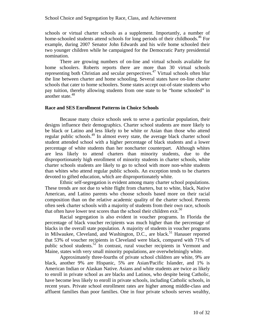schools or virtual charter schools as a supplement. Importantly, a number of home-schooled students attend schools for long periods of their childhoods.<sup>46</sup> For example, during 2007 Senator John Edwards and his wife home schooled their two younger children while he campaigned for the Democratic Party presidential nomination.

There are growing numbers of on-line and virtual schools available for home schoolers. Roberts reports there are more than 30 virtual schools representing both Christian and secular perspectives.47 Virtual schools often blur the line between charter and home schooling. Several states have on-line charter schools that cater to home schoolers. Some states accept out-of-state students who pay tuition, thereby allowing students from one state to be "home schooled" in another state.<sup>48</sup>

#### **Race and SES Enrollment Patterns in Choice Schools**

Because many choice schools seek to serve a particular population, their designs influence their demographics. Charter school students are more likely to be black or Latino and less likely to be white or Asian than those who attend regular public schools.49 In almost every state, the average black charter school student attended school with a higher percentage of black students and a lower percentage of white students than her noncharter counterpart. Although whites are less likely to attend charters than minority students, due to the disproportionately high enrollment of minority students in charter schools, white charter schools students are likely to go to school with more non-white students than whites who attend regular public schools. An exception tends to be charters devoted to gifted education, which are disproportionately white.

Ethnic self-segregation is evident among many charter school populations. These trends are not due to white flight from charters, but to white, black, Native American, and Latino parents who choose schools based more on their racial composition than on the relative academic quality of the charter school. Parents often seek charter schools with a majority of students from their own race, schools that often have lower test scores than the school their children exit.<sup>50</sup>

Racial segregation is also evident in voucher programs. In Florida the percentage of black voucher recipients was much higher than the percentage of blacks in the overall state population. A majority of students in voucher programs in Milwaukee, Cleveland, and Washington, D.C., are black.<sup>51</sup> Hanauer reported that 53% of voucher recipients in Cleveland were black, compared with 71% of public school students.<sup>52</sup> In contrast, rural voucher recipients in Vermont and Maine, states with very small minority populations, are overwhelmingly white.

Approximately three-fourths of private school children are white, 9% are black, another 9% are Hispanic, 5% are Asian/Pacific Islander, and 1% is American Indian or Alaskan Native. Asians and white students are twice as likely to enroll in private school as are blacks and Latinos, who despite being Catholic, have become less likely to enroll in private schools, including Catholic schools, in recent years. Private school enrollment rates are higher among middle-class and affluent families than poor families. One in four private schools serves wealthy,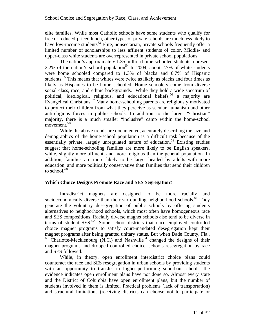elite families. While most Catholic schools have some students who qualify for free or reduced-priced lunch, other types of private schools are much less likely to have low-income students<sup>53</sup> Elite, nonsectarian, private schools frequently offer a limited number of scholarships to less affluent students of color. Middle- and upper-class white students are overrepresented in private school populations.

The nation's approximately 1.35 million home-schooled students represent 2.2% of the nation's school population<sup>54</sup> In 2004, about 2.7% of white students were home schooled compared to 1.3% of blacks and 0.7% of Hispanic students.<sup>55</sup> This means that whites were twice as likely as blacks and four times as likely as Hispanics to be home schooled. Home schoolers come from diverse social class, race, and ethnic backgrounds. While they hold a wide spectrum of political, ideological, religious, and educational beliefs,<sup>56</sup> a majority are Evangelical Christians.57 Many home-schooling parents are religiously motivated to protect their children from what they perceive as secular humanism and other antireligious forces in public schools. In addition to the larger "Christian" majority, there is a much smaller "inclusive" camp within the home-school movement.<sup>58</sup>

While the above trends are documented, accurately describing the size and demographics of the home-school population is a difficult task because of the essentially private, largely unregulated nature of education.<sup>59</sup> Existing studies suggest that home-schooling families are more likely to be English speakers, white, slightly more affluent, and more religious than the general population. In addition, families are more likely to be large, headed by adults with more education, and more politically conservative than families that send their children to school. $60$ 

#### **Which Choice Designs Promote Race and SES Segregation?**

Intradistrict magnets are designed to be more racially and socioeconomically diverse than their surrounding neighborhood schools.<sup> $61$ </sup> They generate the voluntary desegregation of public schools by offering students alternatives to neighborhood schools, which most often have homogeneous race and SES compositions. Racially diverse magnet schools also tend to be diverse in terms of student  $SES<sup>62</sup>$  Some school districts that once employed controlled choice magnet programs to satisfy court-mandated desegregation kept their magnet programs after being granted unitary status. But when Dade County, Fla.,  $63$  Charlotte-Mecklenburg (N.C.) and Nashville<sup>64</sup> changed the designs of their magnet programs and dropped controlled choice, schools resegregation by race and SES followed.

While, in theory, open enrollment interdistrict choice plans could counteract the race and SES resegregation in urban schools by providing students with an opportunity to transfer to higher-performing suburban schools, the evidence indicates open enrollment plans have not done so. Almost every state and the District of Columbia have open enrollment plans, but the number of students involved in them is limited. Practical problems (lack of transportation) and structural limitations (receiving districts can choose not to participate or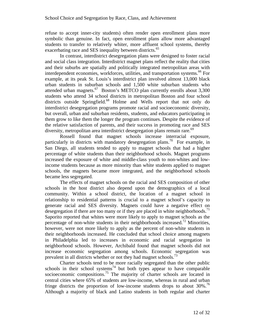refuse to accept inner-city students) often render open enrollment plans more symbolic than genuine. In fact, open enrollment plans allow more advantaged students to transfer to relatively whiter, more affluent school systems, thereby exacerbating race and SES inequality between districts.<sup>65</sup>

In contrast, interdistrict desegregation plans were designed to foster racial and social class integration. Interdistrict magnet plans reflect the reality that cities and their suburbs are spatially and politically integrated metropolitan areas with interdependent economies, workforces, utilities, and transportation systems.<sup>66</sup> For example, at its peak St. Louis's interdistrict plan involved almost 13,000 black urban students in suburban schools and 1,500 white suburban students who attended urban magnets. $67$  Boston's METCO plan currently enrolls about 3,300 students who attend 34 school districts in metropolitan Boston and four school districts outside Springfield.<sup>68</sup> Holme and Wells report that not only do interdistrict desegregation programs promote racial and socioeconomic diversity, but overall, urban and suburban residents, students, and educators participating in them grow to like them the longer the program continues. Despite the evidence of the relative satisfaction of parents, and their success in promoting race and SES diversity, metropolitan area interdistrict desegregation plans remain rare.<sup>69</sup>

Rossell found that magnet schools increase interracial exposure, particularly in districts with mandatory desegregation plans.<sup>70</sup> For example, in San Diego, all students tended to apply to magnet schools that had a higher percentage of white students than their neighborhood schools. Magnet programs increased the exposure of white and middle-class youth to non-whites and lowincome students because as more minority than white students applied to magnet schools, the magnets became more integrated, and the neighborhood schools became less segregated.

The effects of magnet schools on the racial and SES composition of other schools in the host district also depend upon the demographics of a local community. Within a school district, the location of a magnet school in relationship to residential patterns is crucial to a magnet school's capacity to generate racial and SES diversity. Magnets could have a negative effect on desegregation if there are too many or if they are placed in white neighborhoods.<sup>71</sup> Saporito reported that whites were more likely to apply to magnet schools as the percentage of non-white students in their neighborhoods increased.<sup>72</sup> Minorities, however, were not more likely to apply as the percent of non-white students in their neighborhoods increased. He concluded that school choice among magnets in Philadelphia led to increases in economic and racial segregation in neighborhood schools. However, Archibald found that magnet schools did not increase economic segregation among schools. Economic segregation was prevalent in all districts whether or not they had magnet schools.<sup>73</sup>

Charter schools tend to be more racially segregated than the other public schools in their school systems<sup>74</sup> but both types appear to have comparable socioeconomic compositions.<sup>75</sup> The majority of charter schools are located in central cities where 65% of students are low-income, whereas in rural and urban fringe districts the proportion of low-income students drops to about  $30\%$ .<sup>76</sup> Although a majority of black and Latino students in both regular and charter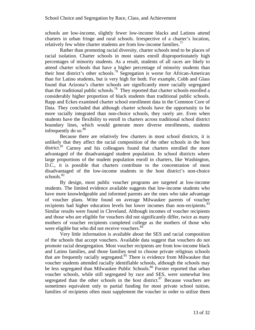schools are low-income, slightly fewer low-income blacks and Latinos attend charters in urban fringe and rural schools. Irrespective of a charter's location, relatively few white charter students are from low-income families.<sup> $77$ </sup>

Rather than promoting racial diversity, charter schools tend to be places of racial isolation. Charter schools in most states enroll disproportionately high percentages of minority students. As a result, students of all races are likely to attend charter schools that have a higher percentage of minority students than their host district's other schools.78 Segregation is worse for African-American than for Latino students, but is very high for both. For example, Cobb and Glass found that Arizona's charter schools are significantly more racially segregated than the traditional public schools.79 They reported that charter schools enrolled a considerably higher proportion of black students than traditional public schools. Rapp and Eckes examined charter school enrollment data in the Common Core of Data. They concluded that although charter schools have the opportunity to be more racially integrated than non-choice schools, they rarely are. Even when students have the flexibility to enroll in charters across traditional school district boundary lines, which would generate more diverse enrollments, students infrequently do so. $80$ 

Because there are relatively few charters in most school districts, it is unlikely that they affect the racial composition of the other schools in the host district.<sup>81</sup> Carnoy and his colleagues found that charters enrolled the more advantaged of the disadvantaged student population. In school districts where large proportions of the student population enroll in charters, like Washington, D.C., it is possible that charters contribute to the concentration of most disadvantaged of the low-income students in the host district's non-choice schools.<sup>82</sup>

By design, most public voucher programs are targeted at low-income students. The limited evidence available suggests that low-income students who have more knowledgeable and informed parents are the ones who take advantage of voucher plans. Witte found on average Milwaukee parents of voucher recipients had higher education levels but lower incomes than non-recipients.<sup>83</sup> Similar results were found in Cleveland. Although incomes of voucher recipients and those who are eligible for vouchers did not significantly differ, twice as many mothers of voucher recipients completed college as the mothers of those who were eligible but who did not receive vouchers.<sup>84</sup>

Very little information is available about the SES and racial composition of the schools that accept vouchers. Available data suggest that vouchers do not promote racial desegregation. Most voucher recipients are from low-income black and Latino families, and those families tend to choose private religious schools that are frequently racially segregated.<sup>85</sup> There is evidence from Milwaukee that voucher students attended racially identifiable schools, although the schools may be less segregated than Milwaukee Public Schools.<sup>86</sup> Forster reported that urban voucher schools, while still segregated by race and SES, were somewhat less segregated than the other schools in the host district.<sup>87</sup> Because vouchers are sometimes equivalent only to partial funding for most private school tuition, families of recipients often must supplement the voucher in order to utilize them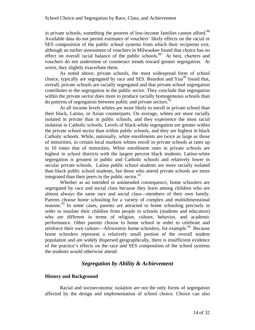in private schools, something the poorest of low-income families cannot afford.<sup>88</sup> Available data do not permit estimates of vouchers' likely effects on the racial or SES composition of the public school systems from which their recipients exit, although an earlier assessment of vouchers in Milwaukee found that choice has no effect on overall racial balance of the public schools.<sup>89</sup> At best, charters and vouchers do not undermine or counteract trends toward greater segregation. At worst, they slightly exacerbate them.

As noted above, private schools, the most widespread form of school choice, typically are segregated by race and SES. Reardon and Yun<sup>90</sup> found that, overall, private schools are racially segregated and that private school segregation contributes to the segregation in the public sector. They conclude that segregation within the private sector does more to produce racially homogeneous schools than do patterns of segregation between public and private sectors.  $91$ 

At all income levels whites are more likely to enroll in private school than their black, Latino, or Asian counterparts. On average, whites are more racially isolated in private than in public schools, and they experience the most racial isolation in Catholic schools. Levels of black-white segregation are greater within the private school sector than within public schools, and they are highest in black Catholic schools. While, nationally, white enrollments are twice as large as those of minorities, in certain local markets whites enroll in private schools at rates up to 10 times that of minorities. White enrollment rates in private schools are highest in school districts with the largest percent black students. Latino-white segregation is greatest in public and Catholic schools and relatively lower in secular private schools. Latino public school students are more racially isolated than black public school students, but those who attend private schools are more integrated than their peers in the public sector. $92$ 

Whether as an intended or unintended consequence, home schoolers are segregated by race and social class because they learn among children who are almost always the same race and social class—members of their own family. Parents choose home schooling for a variety of complex and multidimensional reasons.<sup>93</sup> In some cases, parents are attracted to home schooling precisely in order to insulate their children from people in schools (students and educators) who are different in terms of religion, culture, behavior, and academic performance. Other parents choose to home school in order to celebrate and reinforce their own culture—Afrocentric home schoolers, for example.<sup>94</sup> Because home schoolers represent a relatively small portion of the overall student population and are widely dispersed geographically, there is insufficient evidence of the practice's effects on the race and SES composition of the school systems the students would otherwise attend.

# *Segregation by Ability & Achievement*

#### **History and Background**

Racial and socioeconomic isolation are not the only forms of segregation affected by the design and implementation of school choice. Choice can also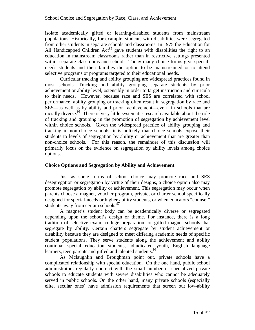isolate academically gifted or learning-disabled students from mainstream populations. Historically, for example, students with disabilities were segregated from other students in separate schools and classrooms. In 1975 the Education for All Handicapped Children Act<sup>95</sup> gave students with disabilities the right to an education in mainstream classrooms rather than in restrictive settings presented within separate classrooms and schools. Today many choice forms give specialneeds students and their families the option to be mainstreamed or to attend selective programs or programs targeted to their educational needs.

Curricular tracking and ability grouping are widespread practices found in most schools. Tracking and ability grouping separate students by prior achievement or ability level, ostensibly in order to target instruction and curricula to their needs. However, because race and SES are correlated with school performance, ability grouping or tracking often result in segregation by race and SES—as well as by ability and prior achievement—even in schools that are racially diverse.<sup>96</sup> There is very little systematic research available about the role of tracking and grouping in the promotion of segregation by achievement level within choice schools. Given the widespread practice of ability grouping and tracking in non-choice schools, it is unlikely that choice schools expose their students to levels of segregation by ability or achievement that are greater than non-choice schools. For this reason, the remainder of this discussion will primarily focus on the evidence on segregation by ability levels among choice options.

#### **Choice Options and Segregation by Ability and Achievement**

Just as some forms of school choice may promote race and SES desegregation or segregation by virtue of their designs, a choice option also may promote segregation by ability or achievement. This segregation may occur when parents choose a magnet, voucher program, private, or charter school specifically designed for special-needs or higher-ability students, or when educators "counsel" students away from certain schools.<sup>97</sup>

A magnet's student body can be academically diverse or segregated depending upon the school's design or theme. For instance, there is a long tradition of selective exam, college preparation, or gifted magnet schools that segregate by ability. Certain charters segregate by student achievement or disability because they are designed to meet differing academic needs of specific student populations. They serve students along the achievement and ability continua: special education students, adjudicated youth, English language learners, teen parents and gifted and talented students.<sup>98</sup>

As Mclaughlin and Broughman point out, private schools have a complicated relationship with special education. On the one hand, public school administrators regularly contract with the small number of specialized private schools to educate students with severe disabilities who cannot be adequately served in public schools. On the other hand, many private schools (especially elite, secular ones) have admission requirements that screen out low-ability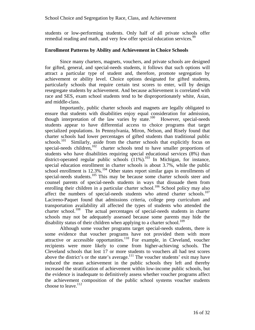students or low-performing students. Only half of all private schools offer remedial reading and math, and very few offer special education services.<sup>99</sup>

#### **Enrollment Patterns by Ability and Achievement in Choice Schools**

Since many charters, magnets, vouchers, and private schools are designed for gifted, general, and special-needs students, it follows that such options will attract a particular type of student and, therefore, promote segregation by achievement or ability level. Choice options designated for gifted students, particularly schools that require certain test scores to enter, will by design resegregate students by achievement. And because achievement is correlated with race and SES, exam school students tend to be disproportionately white, Asian, and middle-class.

Importantly, public charter schools and magnets are legally obligated to ensure that students with disabilities enjoy equal consideration for admission, though interpretation of the law varies by state.<sup>100</sup> However, special-needs students appear to have differential access to choice programs that target specialized populations. In Pennsylvania, Miron, Nelson, and Risely found that charter schools had lower percentages of gifted students than traditional public schools.<sup>101</sup> Similarly, aside from the charter schools that explicitly focus on special-needs children, $102$  charter schools tend to have smaller proportions of students who have disabilities requiring special educational services (8%) than district-operated regular public schools  $(11\%)$ .<sup>103</sup> In Michigan, for instance, special education enrollment in charter schools is about 3.7%, while the public school enrollment is  $12.3\%$ .<sup>104</sup> Other states report similar gaps in enrollments of special-needs students.<sup>105</sup> This may be because some charter schools steer and counsel parents of special-needs students in ways that dissuade them from enrolling their children in a particular charter school.<sup>106</sup> School policy may also affect the numbers of special-needs students who attend charter schools.<sup>107</sup> Lacireno-Paquet found that admissions criteria, college prep curriculum and transportation availability all affected the types of students who attended the charter school.<sup>108</sup> The actual percentages of special-needs students in charter schools may not be adequately assessed because some parents may hide the disability status of their children when applying to a charter school.<sup>109</sup>

Although some voucher programs target special-needs students, there is some evidence that voucher programs have not provided them with more attractive or accessible opportunities.110 For example, in Cleveland, voucher recipients were more likely to come from higher-achieving schools. The Cleveland schools that lost 17 or more students to vouchers all had test scores above the district's or the state's average. $111$  The voucher students' exit may have reduced the mean achievement in the public schools they left and thereby increased the stratification of achievement within low-income public schools, but the evidence is inadequate to definitively assess whether voucher programs affect the achievement composition of the public school systems voucher students choose to leave.<sup>112</sup>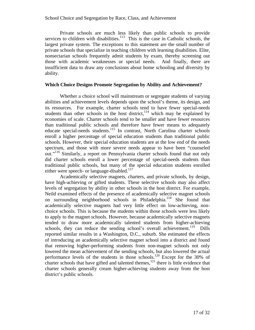Private schools are much less likely than public schools to provide services to children with disabilities.<sup>113</sup> This is the case in Catholic schools, the largest private system. The exceptions to this statement are the small number of private schools that specialize in teaching children with learning disabilities. Elite, nonsectarian schools frequently admit students by exam, thereby screening out those with academic weaknesses or special needs. And finally, there are insufficient data to draw any conclusions about home schooling and diversity by ability.

#### **Which Choice Designs Promote Segregation by Ability and Achievement?**

Whether a choice school will mainstream or segregate students of varying abilities and achievement levels depends upon the school's theme, its design, and its resources. For example, charter schools tend to have fewer special-needs students than other schools in the host district,  $114$  which may be explained by economies of scale. Charter schools tend to be smaller and have fewer resources than traditional public schools and therefore have fewer means to adequately educate special-needs students.115 In contrast, North Carolina charter schools enroll a higher percentage of special education students than traditional public schools. However, their special education students are at the low end of the needs spectrum, and those with more severe needs appear to have been "counseled out."116 Similarly, a report on Pennsylvania charter schools found that not only did charter schools enroll a lower percentage of special-needs students than traditional public schools, but many of the special education students enrolled either were speech- or language-disabled.<sup>117</sup>

Academically selective magnets, charters, and private schools, by design, have high-achieving or gifted students. These selective schools may also affect levels of segregation by ability in other schools in the host district. For example, Neild examined effects of the presence of academically selective magnet schools on surrounding neighborhood schools in Philadelphia.118 She found that academically selective magnets had very little effect on low-achieving, nonchoice schools. This is because the students within those schools were less likely to apply to the magnet schools. However, because academically selective magnets tended to draw more academically talented students from higher-achieving schools, they can reduce the sending school's overall achievement.<sup>119</sup> Dills reported similar results in a Washington, D.C., suburb. She estimated the effects of introducing an academically selective magnet school into a district and found that removing higher-performing students from non-magnet schools not only lowered the mean achievement of the sending schools, but also lowered the actual performance levels of the students in those schools.<sup>120</sup> Except for the 30% of charter schools that have gifted and talented themes,<sup>121</sup> there is little evidence that charter schools generally cream higher-achieving students away from the host district's public schools.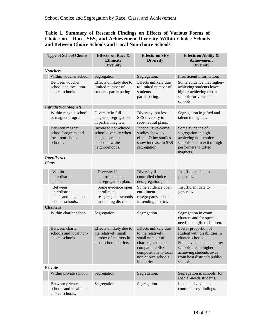# **Table 1. Summary of Research Findings on Effects of Various Forms of Choice on Race, SES, and Achievement Diversity Within Choice Schools and Between Choice Schools and Local Non-choice Schools**

| <b>Type of School Choice</b>         |                                                                      | <b>Effects on Race &amp;</b><br><b>Ethnicity</b><br><b>Diversity</b>                                  | <b>Effects</b> on SES<br><b>Diversity</b>                                                                                                                            | <b>Effects on Ability &amp;</b><br><b>Achievement</b><br><b>Diversity</b>                                                                                                                            |
|--------------------------------------|----------------------------------------------------------------------|-------------------------------------------------------------------------------------------------------|----------------------------------------------------------------------------------------------------------------------------------------------------------------------|------------------------------------------------------------------------------------------------------------------------------------------------------------------------------------------------------|
|                                      | <b>Vouchers</b>                                                      |                                                                                                       |                                                                                                                                                                      |                                                                                                                                                                                                      |
|                                      | Within voucher school.                                               | Segregation.                                                                                          | Segregation.                                                                                                                                                         | Insufficient information.                                                                                                                                                                            |
|                                      | Between voucher<br>school and local non-<br>choice schools.          | Effects unlikely due to<br>limited number of<br>students participating.                               | Effects unlikely due<br>to limited number of<br>students<br>participating.                                                                                           | Some evidence that higher-<br>achieving students leave<br>higher-achieving urban<br>schools for voucher<br>schools.                                                                                  |
| <b>Intradistrict Magnets</b>         |                                                                      |                                                                                                       |                                                                                                                                                                      |                                                                                                                                                                                                      |
|                                      | Within magnet school<br>or magnet program                            | Diversity in full<br>magnets; segregation<br>in partial magnets.                                      | Diversity, but less<br>SES diversity in<br>race-neutral plans.                                                                                                       | Segregation in gifted and<br>talented magnets.                                                                                                                                                       |
|                                      | Between magnet<br>school/program and<br>local non-choice<br>schools. | Increased non-choice<br>school diversity when<br>magnets are not<br>placed in white<br>neighborhoods. | Inconclusive-Some<br>studies show no<br>effect. Other studies<br>show increase in SES<br>segregation.                                                                | Some evidence of<br>segregation in high<br>achieving non-choice<br>schools due to exit of high<br>performers to gifted<br>magnets.                                                                   |
| <i>Interdistrict</i><br><b>Plans</b> |                                                                      |                                                                                                       |                                                                                                                                                                      |                                                                                                                                                                                                      |
|                                      | Within<br>interdistrict<br>plans.                                    | Diversity if<br>controlled choice<br>desegregation plan.                                              | Diversity if<br>controlled choice<br>desegregation plan.                                                                                                             | Insufficient data to<br>generalize.                                                                                                                                                                  |
|                                      | Between<br>interdistrict<br>plans and local non-<br>choice schools.  | Some evidence open<br>enrollment<br>resegregates schools<br>in sending district.                      | Some evidence open<br>enrollment<br>resegregates schools<br>in sending district.                                                                                     | Insufficient data to<br>generalize.                                                                                                                                                                  |
| <b>Charters</b>                      |                                                                      |                                                                                                       |                                                                                                                                                                      |                                                                                                                                                                                                      |
|                                      | Within charter school.                                               | Segregation.                                                                                          | Segregation.                                                                                                                                                         | Segregation in exam<br>charters and for special-<br>needs and gifted children.                                                                                                                       |
|                                      | Between charter<br>schools and local non-<br>choice schools.         | Effects unlikely due to<br>the relatively small<br>number of charters in<br>most school districts.    | Effects unlikely due<br>to the relatively<br>small number of<br>charters, and their<br>comparable SES<br>compositions to local<br>non-choice schools<br>in district. | Lower proportion of<br>student with disabilities in<br>charter schools.<br>Some evidence that charter<br>schools cream higher-<br>achieving students away<br>from host district's public<br>schools. |
|                                      | <b>Private</b>                                                       |                                                                                                       |                                                                                                                                                                      |                                                                                                                                                                                                      |
|                                      | Within private school.                                               | Segregation.                                                                                          | Segregation.                                                                                                                                                         | Segregation in schools for<br>special-needs students.                                                                                                                                                |
|                                      | Between private<br>schools and local non-<br>choice schools.         | Segregation.                                                                                          | Segregation.                                                                                                                                                         | Inconclusive due to<br>contradictory findings.                                                                                                                                                       |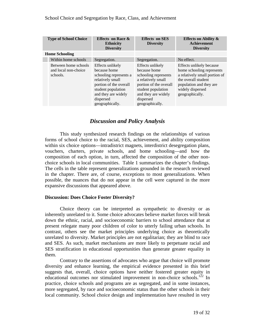| <b>Type of School Choice</b> |                                                          | <b>Effects</b> on Race &<br><b>Ethnicity</b><br><b>Diversity</b>                                                                                                                      | <b>Effects</b> on SES<br><b>Diversity</b>                                                                                                                                             | <b>Effects on Ability &amp;</b><br><b>Achievement</b><br><b>Diversity</b>                                                                                                       |
|------------------------------|----------------------------------------------------------|---------------------------------------------------------------------------------------------------------------------------------------------------------------------------------------|---------------------------------------------------------------------------------------------------------------------------------------------------------------------------------------|---------------------------------------------------------------------------------------------------------------------------------------------------------------------------------|
| <b>Home Schooling</b>        |                                                          |                                                                                                                                                                                       |                                                                                                                                                                                       |                                                                                                                                                                                 |
|                              | Within home schools                                      | Segregation.                                                                                                                                                                          | Segregation.                                                                                                                                                                          | No effect.                                                                                                                                                                      |
|                              | Between home schools<br>and local non-choice<br>schools. | Effects unlikely<br>because home<br>schooling represents a<br>relatively small<br>portion of the overall<br>student population<br>and they are widely<br>dispersed<br>geographically. | Effects unlikely<br>because home<br>schooling represents<br>a relatively small<br>portion of the overall<br>student population<br>and they are widely<br>dispersed<br>geographically. | Effects unlikely because<br>home schooling represents<br>a relatively small portion of<br>the overall student<br>population and they are<br>widely dispersed<br>geographically. |

# *Discussion and Policy Analysis*

This study synthesized research findings on the relationships of various forms of school choice to the racial, SES, achievement, and ability composition within six choice options—intradistrict magnets, interdistrict desegregation plans, vouchers, charters, private schools, and home schooling—and how the composition of each option, in turn, affected the composition of the other nonchoice schools in local communities. Table 1 summarizes the chapter's findings. The cells in the table represent generalizations grounded in the research reviewed in the chapter. There are, of course, exceptions to most generalizations. When possible, the nuances that do not appear in the cell were captured in the more expansive discussions that appeared above.

#### **Discussion: Does Choice Foster Diversity?**

Choice theory can be interpreted as sympathetic to diversity or as inherently unrelated to it. Some choice advocates believe market forces will break down the ethnic, racial, and socioeconomic barriers to school attendance that at present relegate many poor children of color to utterly failing urban schools. In contrast, others see the market principles underlying choice as theoretically unrelated to diversity. Market principles are not egalitarian; they are blind to race and SES. As such, market mechanisms are more likely to perpetuate racial and SES stratification in educational opportunities than generate greater equality in them.

Contrary to the assertions of advocates who argue that choice will promote diversity and enhance learning, the empirical evidence presented in this brief suggests that, overall, choice options have neither fostered greater equity in educational outcomes nor stimulated improvement in non-choice schools.<sup>122</sup> In practice, choice schools and programs are as segregated, and in some instances, more segregated, by race and socioeconomic status than the other schools in their local community. School choice design and implementation have resulted in very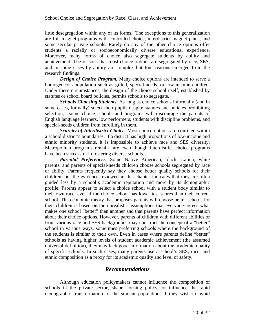little desegregation within any of its forms. The exceptions to this generalization are full magnet programs with controlled choice, interdistrict magnet plans, and some secular private schools. Rarely do any of the other choice options offer students a racially or socioeconomically diverse educational experience. Moreover, many forms of choice also segregate students by ability and achievement. The reasons that most choice options are segregated by race, SES, and in some cases by ability are complex but four reasons emerged from the research findings.

*Design of Choice Program.* Many choice options are intended to serve a homogeneous population such as gifted, special-needs, or low-income children. Under these circumstances, the design of the choice school itself, established by statutes or school board policies, permits schools to segregate.

*Schools Choosing Students.* As long as choice schools informally (and in some cases, formally) select their pupils despite statutes and policies prohibiting selection, some choice schools and programs will discourage the parents of English language learners, low performers, students with discipline problems, and special-needs children from enrolling in them.

*Scarcity of Interdistrict Choice.* Most choice options are confined within a school district's boundaries. If a district has high proportions of low-income and ethnic minority students, it is impossible to achieve race and SES diversity. Metropolitan programs remain rare even though interdistrict choice programs have been successful in fostering diverse schools.

*Parental Preferences.* Some Native American, black, Latino, white parents, and parents of special-needs children choose schools segregated by race or ability. Parents frequently say they choose better quality schools for their children, but the evidence reviewed in this chapter indicates that they are often guided less by a school's academic reputation and more by its demographic profile. Parents appear to select a choice school with a student body similar to their own race, even if the choice school has lower test scores than their current school. The economic theory that proposes parents will choose better schools for their children is based on the unrealistic assumptions that everyone agrees what makes one school "better" than another and that parents have perfect information about their choice options. However, parents of children with different abilities or from various race and SES backgrounds may construct the concept of a "better" school in various ways, sometimes preferring schools where the background of the students is similar to their own. Even in cases where parents define "better" schools as having higher levels of student academic achievement (the assumed universal definition), they may lack good information about the academic quality of specific schools. In such cases, many parents use a school's SES, race, and ethnic composition as a proxy for its academic quality and level of safety.

# *Recommendations*

Although education policymakers cannot influence the composition of schools in the private sector, shape housing policy, or influence the rapid demographic transformation of the student population, if they wish to avoid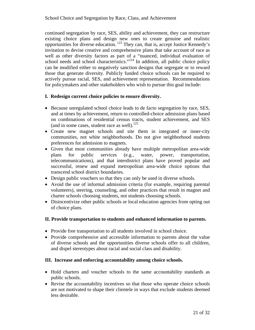continued segregation by race, SES, ability and achievement, they can restructure existing choice plans and design new ones to create genuine and realistic opportunities for diverse education. 123 They can, that is, accept Justice Kennedy's invitation to devise creative and comprehensive plans that take account of race as well as other diversity factors as part of a "nuanced, individual evaluation of school needs and school characteristics."<sup>124</sup> In addition, all public choice policy can be modified either to negatively sanction designs that segregate or to reward those that generate diversity. Publicly funded choice schools can be required to actively pursue racial, SES, and achievement representation. Recommendations for policymakers and other stakeholders who wish to pursue this goal include:

## **I. Redesign current choice policies to ensure diversity.**

- Because unregulated school choice leads to de facto segregation by race, SES, and at times by achievement, return to controlled-choice admission plans based on combinations of residential census tracts, student achievement, and SES (and in some cases, student race as well). $^{125}$
- Create new magnet schools and site them in integrated or inner-city communities, not white neighborhoods. Do not give neighborhood students preferences for admission to magnets.
- Given that most communities already have multiple metropolitan area-wide plans for public services (e.g., water, power, transportation, telecommunications), and that interdistrict plans have proved popular and successful, renew and expand metropolitan area-wide choice options that transcend school district boundaries.
- Design public vouchers so that they can only be used in diverse schools.
- Avoid the use of informal admission criteria (for example, requiring parental volunteers), steering, counseling, and other practices that result in magnet and charter schools choosing students, not students choosing schools.
- Disincentivize other public schools or local education agencies from opting out of choice plans.

#### **II. Provide transportation to students and enhanced information to parents.**

- Provide free transportation to all students involved in school choice.
- Provide comprehensive and accessible information to parents about the value of diverse schools and the opportunities diverse schools offer to all children, and dispel stereotypes about racial and social class and disability.

## **III. Increase and enforcing accountability among choice schools.**

- Hold charters and voucher schools to the same accountability standards as public schools.
- Revise the accountability incentives so that those who operate choice schools are not motivated to shape their clientele in ways that exclude students deemed less desirable.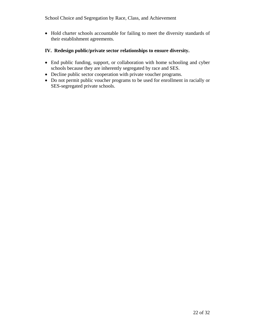• Hold charter schools accountable for failing to meet the diversity standards of their establishment agreements.

# **IV. Redesign public/private sector relationships to ensure diversity.**

- End public funding, support, or collaboration with home schooling and cyber schools because they are inherently segregated by race and SES.
- Decline public sector cooperation with private voucher programs.
- Do not permit public voucher programs to be used for enrollment in racially or SES-segregated private schools.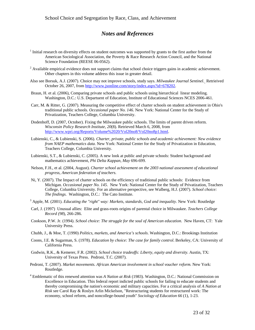# *Notes and References*

- $1$  Initial research on diversity effects on student outcomes was supported by grants to the first author from the American Sociological Association, the Poverty & Race Research Action Council, and the National Science Foundation (REESE 06-0562).
- $2$  Available empirical evidence does not support claims that school choice triggers gains in academic achievement. Other chapters in this volume address this issue in greater detail.
- Also see Borsuk, A.J. (2007). Choice may not improve schools, study says. *Milwaukee Journal Sentinel.* Retrieived October 26, 2007, from http://www.jsonline.com/story/index.aspx?id=678202.
- Braun, H. et al. (2006), Comparing private schools and public schools using hierarchical linear modeling. Washington, D.C.: U.S. Departuent of Education, Institute of Educational Sciences NCES 2006-461.
- Carr, M. & Ritter, G. (2007). Measuring the competitive effect of charter schools on student achievement in Ohio's traditional public schools. *Occasional paper No. 146.* New York: National Center for the Study of Privatization, Teachers College, Columbia University.
- Dodenhoff, D. (2007, October). Fixing the Milwaukee public schools. The limits of parent driven reform. *Wisconsin Policy Research Institute, 20*(8). Retrieved March 6, 2008, from http://www.wpri.org/Reports/Volume%2020/Vol20no8/Vol20no8p1.html.
- Lubienski, C., & Lubienski, S. (2006). *Charter, private, public schools and academic achievement: New evidence from NAEP mathematics data*. New York: National Center for the Study of Privatization in Education, Teachers College, Columbia University.
- Lubienski, S.T., & Lubienski, C. (2005). A new look at public and private schools: Student background and mathematics achievement, *Phi Delta Kappan, May* 696-699.
- Nelson, F.H., et al. (2004, August). *Charter school achievement on the 2003 national assessment of educational progress, American federation of teachers.*
- Ni, Y. (2007). The Impact of charter schools on the efficiency of traditional public schools: Evidence from Michigan. *Occasional paper No. 145*. New York: National Center for the Study of Privatization, Teachers College, Columbia University. For an alternative perspective, see Walberg, H.J. (2007). *School choice: The findings.* Washington, D.C.: The Cato Institute.
- 3 Apple, M. (2001). *Educating the "right" way: Markets, standards, God and inequality*. New York: Routledge
- Carl, J. (1997) Unusual allies: Elite and grass-roots origins of parental choice in Milwaukee. *Teachers College Record (98*), 266-286.
- Cookson, P.W. Jr. (1994). *School choice: The struggle for the soul of American education.* New Haven, CT: Yale University Press.
- Chubb, J., & Moe, T. (1990) *Politics, markets, and America's schools*. Washington, D.C.: Brookings Institution
- Coons, J.E. & Sugarman, S. (1978). *Education by choice: The case for family control*. Berkeley, CA: University of California Press.
- Godwin, R.K., & Kemerer, F.R. (2002). *School choice tradeoffs: Liberty, equity and diversity*. Austin, TX: University of Texas Press. Pedroni, T.C. (2007).
- Pedroni, T. (2007). *Market movements. African American involvement in school voucher reform.* New York: Routledge.
- 4 Emblematic of this renewed attention was *A Nation at Risk* (1983). Washington, D.C.: National Commission on Excellence in Education. This federal report indicted public schools for failing to educate students and thereby compromising the nation's economic and military capacities. For a critical analysis of *A Nation at Risk* see Carol Ray & Roslyn Arlin Mickelson, "Restructuring students for restructured work: The economy, school reform, and noncollege-bound youth" *Sociology of Education 66* (1), 1-23.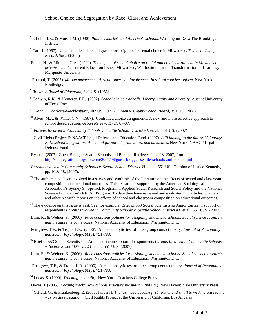- 5 Chubb, J.E., & Moe, T.M. (1990). *Politics, markets and America's schools*, Washington D.C.: The Brookings Institute.
- 6 Carl, J. (1997). Unusual allies: elite and grass roots origins of parental choice in Milwaukee. *Teachers College Record, 98*(266-286)
- Fuller, H., & Mitchell, G.A. (1999). *The impact of school choice on racial and ethnic enrollment in Milwaukee private schools.* Current Education Issues. Milwaukee, WI: Institute for the Transformation of Learning, Marquette University
- Pedroni, T. (2007). *Market movements: African American involvement in school voucher reform,* New York: Routledge.
- <sup>7</sup> *Brown v. Board of Education,* 349 US. (1955).
- 8 Godwin, R.K., & Kemerer, F.R. (2002). *School choice tradeoffs: Liberty, equity and diversity*, Austin: University of Texas Press.
- <sup>9</sup> *Swann v. Charlotte-Mecklenburg*, 402 US (1971). *Green v. County School Board*, 391 US (1968).
- $10$  Alves, M.J., & Willie, C.V. (1987). Controlled choice assignments: A new and more effective approach to school desegregation*. Urban Review, 19*(2), 67-87.
- <sup>11</sup> *Parents Involved in Community Schools v. Seattle School District #1*, et. al., 551 US. (2007).
- 12 Civil Rights Project & NAACP Legal Defense and Education Fund. (2007). *Still looking to the future. Voluntary K-12 school integration. A manual for parents, educators, and advocates*. New York: NAACP Legal Defense Fund
- Ryan, J. (2007). Guest Blogger: Seattle Schools and Bakke. Retrieved June 28, 2007, from http://scintegration.blogspot.com/2007/06/guest-blogger-seattle-schools-and-bakke.html
- *Parents Involved in Community Schools v. Seattle School District #1*, et. al. 551 US., Opinion of Justice Kennedy, pp. 10 & 18, (2007).
- <sup>13</sup> The authors have been involved in a survey and synthesis of the literature on the effects of school and classroom composition on educational outcomes. This research is supported by the American Sociological Association's Sydney S. Spivack Program in Applied Social Research and Social Policy and the National Science Foundation's REESE Program. To date they have reviewed and evaluated 350 articles, chapters, and other research reports on the effects of school and classroom composition on educational outcomes.
- $<sup>14</sup>$  The evidence on this issue is vast. See, for example, Brief of 553 Social Scientists as Amici Curiae in support of</sup> respondents *Parents Involved in Community Schools v. Seattle School District #1*, et al., 551 U. S. (2007)
- Linn, R., & Welner, K. (2006). *Race conscious policies for assigning students to schools: Social science research and the supreme court cases.* National Academy of Education, Washington D.C.
- Pettigrew, T.F., & Tropp, L.R. (2006). A meta-analytic test of inter-group contact theory*. Journal of Personality and Social Psychology, 90*(5), 751-783.
- 15 Brief of 553 Social Scientists as Amici Curiae in support of respondents *Parents Involved in Community Schools v. Seattle School District #1,* et al., 551 U. S. (2007)
- Linn, R., & Welner, K. (2006). *Race conscious policies for assigning students to schools: Social science research and the supreme court cases.* National Academy of Education, Washington D.C.
- Pettigrew, T.F., & Tropp, L.R. (2006). A meta-analytic test of inter-group contact theory. *Journal of Personality and Social Psychology, 90*(5), 751-783.
- 16 Lucas, S. (1999). *Tracking inequality.* New York: Teachers College Press

Oakes, J. (2005). *Keeping track: How schools structure inequality* (2nd Ed.). New Haven: Yale University Press.

<sup>17</sup> Orfield, G., & Frankenberg, E. (2008, January). *The last have become first. Rural and small town America led the way on desegregation.* Civil Rights Project at the University of California, Los Angeles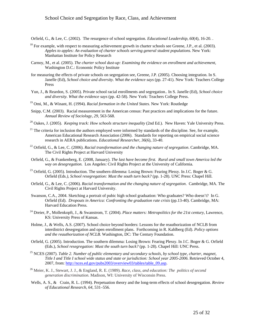Orfield, G., & Lee, C. (2002). The resurgence of school segregation*. Educational Leadership, 60*(4), 16-20. .

- $^{18}$  For example, with respect to measuring achievement growth in charter schools see Greene, J.P., et al. (2003). *Apples to apples: An evaluation of charter schools serving general student populations*. New York: Manhattan Institute for Policy Research
- Carnoy, M., et al. (2005). *The charter school dust-up: Examining the evidence on enrollment and achievement*, Washington D.C.: Economic Policy Institute
- for measuring the effects of private schools on segregation see, Greene, J.P. (2005). Choosing integration. In S. Janelle (Ed), *School choice and diversity. What the evidence says* (pp. 27-41). New York: Teachers College Press
- Yun, J., & Reardon, S. (2005). Private school racial enrollments and segregation.. In S. Janelle (Ed), *School choice and diversity. What the evidence says* (pp. 42-58). New York: Teachers College Press.
- 19 Omi, M., & Winant, H. (1994). *Racial formation in the United States.* New York: Routledge
- Snipp, C.M. (2003). Racial measurement in the American census: Past practices and implications for the future. *Annual Review of Sociology, 29*, 563-568.
- 20 Oakes, J. (2005). *Keeping track: How schools structure inequality* (2nd Ed.). New Haven: Yale University Press.
- $21$  The criteria for inclusion the authors employed were informed by standards of the discipline. See, for example, American Educational Research Association (2006). Standards for reporting on empirical social science research in AERA publications*. Educational Researcher, 36*(6), 33-40.
- 22 Orfield, G., & Lee, C. (2006). *Racial transformation and the changing nature of segregation*. Cambridge, MA. The Civil Rights Project at Harvard University
- Orfield, G., & Frankenberg, E. (2008, January). *The last have become first. Rural and small town America led the way on desegregation.* Los Angeles: Civil Rights Project at the University of California.
- <sup>23</sup> Orfield, G. (2005). Introduction. The southern dilemma: Losing Brown: Fearing Plessy. In J.C. Boger & G. Orfield (Eds*.), School resegregation: Must the south turn back?* (pp. 1-28). UNC Press: Chapel Hill.
- Orfield, G., & Lee, C. (2006). *Racial transformation and the changing nature of segregation*. Cambridge, MA. The Civil Rights Project at Harvard University.
- Swanson, C.A., 2004. Sketching a portrait of pubic high school graduation: Who graduates? Who doesn't? In G. Orfield (Ed). *Dropouts in America: Confronting the graduation rate crisis* (pp.13-40). Cambridge, MA: Harvard Education Press*.*
- 24 Dreier, P., Mollenkopft, J., & Swanstrom, T. (2004). *Place matters: Metropolitics for the 21st century*, Lawrence, KS: University Press of Kansas.
- Holme, J., & Wells, A.S. (2007). School choice beyond borders: Lessons for the reauthorization of NCLB from interdistrict desegregation and open enrollment plans. Forthcoming in R. Kahlberg (Ed). *Policy options and the reauthorization of NCLB.* Washington, DC: The Century Foundation.
- Orfield, G. (2005). Introduction. The southern dilemma: Losing Brown: Fearing Plessy. In J.C. Boger & G. Orfield (Eds.), *School resegregation: Must the south turn back?* (pp. 1-28). Chapel Hill: UNC Press.
- 25 NCES (2007). *Table 2. Number of public elementary and secondary schools, by school type, charter, magnet, Title I and Title I school wide status and state or jurisdiction: School year 2005-2006*. Retrieved October 4, 2007, from: http://nces.ed.gov/pubs2003/overview03/tables/table\_09.asp.
- <sup>26</sup> Meier, K. J., Stewart, J. J., & England, R. E. (1989). *Race, class, and education: The politics of second generation discrimination.* Madison, WI: University of Wisconsin Press.
- Wells, A. S., & Crain, R. L. (1994). Perpetuation theory and the long-term effects of school desegregation. *Review of Educational Research, 64,* 531–556.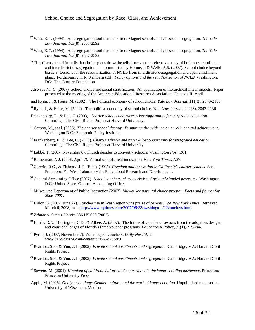- 27 West, K.C. (1994). A desegregation tool that backfired: Magnet schools and classroom segregation. *The Yale Law Journal, 103*(8), 2567-2592.
- 28 West, K.C. (1994). A desegregation tool that backfired: Magnet schools and classroom segregation. *The Yale Law Journal, 103*(8), 2567-2592.
- $^{29}$  This discussion of interdistrict choice plans draws heavily from a comprehensive study of both open enrollment and interdistrict desegregation plans conducted by Holme, J. & Wells, A.S. (2007). School choice beyond borders: Lessons for the reauthorization of NCLB from interdistrict desegregation and open enrollment plans. Forthcoming in R. Kahlberg (Ed). *Policy options and the reauthorization of NCLB.* Washington, DC: The Century Foundation.
- Also see Ni, Y. (2007). School choice and social stratification: An application of hierarchical linear models. Paper presented at the meeting of the American Educational Research Association. Chicago, IL April

and Ryan, J., & Heise, M. (2002). The Political economy of school choice*. Yale Law Journal*, 111(8), 2043-2136.

- 30 Ryan, J., & Heise, M. (2002). The political economy of school choice. *Yale Law Journal, 111*(8), 2043-2136
- Frankenberg, E., & Lee, C. (2003). *Charter schools and race: A lost opportunity for integrated education*. Cambridge: The Civil Rights Project at Harvard University.
- 31 Carnoy, M., et al. (2005). *The charter school dust-up: Examining the evidence on enrollment and achievement*. Washington D.C.: Economic Policy Institute.
- 32 Frankenberg, E., & Lee, C. (2003). *Charter schools and race: A lost opportunity for integrated education.* Cambridge: The Civil Rights Project at Harvard University.
- 33 Labbé, T. (2007, November 6). Church decides to convert 7 schools. *Washington Post*, B01.
- 34 Rotherman, A.J. (2006, April 7). Virtual schools, real innovation. *New York Times*, A27.
- 35 Corwin, R.G., & Flaherty, J. F. (Eds.), (1995). *Freedom and innovation in California's charter schools*. San Francisco: Far West Laboratory for Educational Research and Development.
- 36 General Accounting Office (2002). *School vouchers, characteristics of privately funded programs.* Washington D.C.: United States General Accounting Office.
- 37 Milwaukee Department of Public Instruction (2007). *Milwaukee parental choice program Facts and figures for 2006-2007*.
- 38 Dillon, S. (2007, June 22). Voucher use in Washington wins praise of parents. *The New York Times*. Retrieved March 6, 2008, from http://www.nytimes.com/2007/06/22/washington/22vouchers.html.
- <sup>39</sup> *Zelman v. Simms-Harris*, 536 US 639 (2002).
- $^{40}$  Harris, D.N., Herrington, C.D., & Albee, A. (2007). The future of vouchers: Lessons from the adoption, design, and court challenges of Florida's three voucher programs. *Educational Policy, 21*(1), 215-244.
- 41 Pyrah, J. (2007, November 7). Voters reject vouchers. *Daily Herald*, at w*ww.heraldextra.com/content/view/242560/3*
- 42 Reardon, S.F., & Yun, J.T. (2002). *Private school enrollments and segregation*. Cambridge, MA: Harvard Civil Rights Project.
- 43 Reardon, S.F., & Yun, J.T. (2002). *Private school enrollments and segregation*. Cambridge, MA: Harvard Civil Rights Project.
- 44 Stevens, M. (2001). *Kingdom of children: Culture and controversy in the homeschooling movement*. Princeton: Princeton University Press
- Apple, M. (2006). *Godly technology: Gender, culture, and the work of homeschooling*. Unpublished manuscript. University of Wisconsin, Madison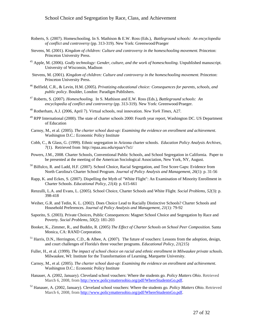- Roberts, S. (2007). Homeschooling. In S. Mathison & E.W. Ross (Eds.), *Battleground schools: An encyclopedia of conflict and controversy* (pp. 313-319). New York: Greenwood/Praeger
- Stevens, M. (2001). *Kingdom of children: Culture and controversy in the homeschooling movement*. Princeton: Princeton University Press.
- 45 Apple, M. (2006). *Godly technology: Gender, culture, and the work of homeschooling*. Unpublished manuscript. University of Wisconsin, Madison
- Stevens, M. (2001). *Kingdom of children: Culture and controversy in the homeschooling movement*. Princeton: Princeton University Press.
- 46 Belfield, C.R., & Levin, H.M. (2005). *Privatizing educational choice: Consequences for parents, schools, and public policy*. Boulder, London: Paradigm Publishers.
- 47 Roberts, S. (2007). *Homeschooling.* In S. Mathison and E.W. Ross (Eds.), *Battleground schools: An encyclopedia of conflict and controversy* (pp. 313-319)*.* New York: Greenwood/Praeger.
- 48 Rotherham, A.J. (2006, April 7). Virtual schools, real innovation. *New York Times*, A27*.*
- $49$  RPP International (2000). The state of charter schools 2000: Fourth year report, Washington DC. US Department of Education
- Carnoy, M., et al. (2005). *The charter school dust-up: Examining the evidence on enrollment and achievement*. Washington D.C.: Economic Policy Institute
- Cobb, C., & Glass, G. (1999). Ethnic segregation in Arizona charter schools. *Education Policy Analysis Archives, 7*(1). Retrieved from http://epaa.asu.edu/epaa/v7n1/
- Powers, J.M., 2008. Charter Schools, Conventional Public Schools, and School Segregation in California. Paper to be presented at the meeting of the American Sociological Association, New York, NY, August.
- 50 Bilfulco, R. and Ladd, H.F. (2007). School Choice, Racial Segregation, and Test Score Gaps: Evidence from North Carolina's Charter School Program. *Journal of Policy Analysis and Management, 26*(1): p. 31-56
- Rapp, K. and Eckes, S. (2007). Dispelling the Myth of "White Flight": An Examination of Minority Enrollment in Charter Schools. *Educational Policy, 21*(4): p. 615-661
- Renzulli, L.A. and Evans, L. (2005). School Choice, Charter Schools and White Flight*. Social Problems, 52*(3): p. 398-418
- Weiher, G.R. and Tedin, K. L. (2002). Does Choice Lead to Racially Distinctive Schools? Charter Schools and Household Preferences*. Journal of Policy Analysis and Management, 21*(1): 79-92
- Saporito, S. (2003). Private Choices, Public Consequences: Magnet School Choice and Segregation by Race and Poverty*. Social Problems, 50*(2): 181-203
- Booker, K., Zimmer, R., and Buddin, R. (2005) *The Effect of Charter Schools on School Peer Composition.* Santa Monica, CA: RAND Corporation.
- <sup>51</sup> Harris, D.N., Herrington, C.D., & Albee, A. (2007). The future of vouchers: Lessons from the adoption, design, and court challenges of Florida's three voucher programs. *Educational Policy, 21*(215)
- Fuller, H., et al. (1999). *The impact of school choice on racial and ethnic enrollment in Milwaukee private schools*. Milwaukee, WI: Institute for the Transformation of Learning, Marquette University.
- Carnoy, M., et al. (2005). *The charter school dust-up: Examining the evidence on enrollment and achievement*. Washington D.C.: Economic Policy Institute
- Hanauer, A. (2002, January). Cleveland school vouchers: Where the students go*. Policy Matters Ohio*. Retrieved March 6, 2008, from http://www.policymattersohio.org/pdf/WhereStudentsGo.pdf.
- 52 Hanauer, A. (2002, January). Cleveland school vouchers: Where the students go*. Policy Matters Ohio*. Retrieved March 6, 2008, from http://www.policymattersohio.org/pdf/WhereStudentsGo.pdf.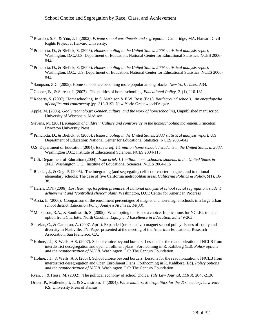- 53 Reardon, S.F., & Yun, J.T. (2002). *Private school enrollments and segregation*. Cambridge, MA. Harvard Civil Rights Project at Harvard University.
- 54 Princiotta, D., & Bielick, S. (2006). *Homeschooling in the United States: 2003 statistical analysis report.* Washington, D.C.:U.S. Department of Education: National Center for Educational Statistics. NCES 2006- 042.
- 55 Princiotta, D., & Bielick, S. (2006). *Homeschooling in the United States: 2003 statistical analysis report.* Washington, D.C.: U.S. Department of Education: National Center for Educational Statistics. NCES 2006- 042.
- 56 Sampson, Z.C. (2005). Home schools are becoming more popular among blacks. *New York Times*, A34.
- 57 Cooper, B., & Sureau, J. (2007). The politics of home schooling. *Educational Policy, 21*(1), 110-131.
- 58 Roberts, S. (2007). Homeschooling. In S. Mathison & E.W. Ross (Eds.), *Battleground schools: An encyclopedia of conflict and controversy* (pp. 313-319). New York: Greenwood/Praeger
- Apple, M. (2006). *Godly technology: Gender, culture, and the work of homeschooling*, Unpublished manuscript. University of Wisconsin, Madison
- Stevens, M. (2001). *Kingdom of children: Culture and controversy in the homeschooling movement*. Princeton: Princeton University Press.
- 59 Princiotta, D., & Bielick, S. (2006). *Homeschooling in the United States: 2003 statistical analysis report.* U.S. Department of Education: National Center for Educational Statistics. NCES 2006-042
- U.S. Department of Education (2004). *Issue brief: 1.1 million home schooled students in the United States in 2003*. Washington D.C.: Institute of Educational Sciences. NCES 2004-115
- 60 U.S. Department of Education (2004). *Issue brief: 1.1 million home schooled students in the United States in 2003*. Washington D.C.: Institute of Educational Sciences. NCES 2004-115
- <sup>61</sup> Rickles, J., & Ong, P. (2005). The integrating (and segregating) effect of charter, magnet, and traditional elementary schools: The case of five California metropolitan areas. *California Politics & Policy, 9*(1), 16- 38.
- 62 Harris, D.N. (2006). *Lost learning, forgotten promises: A national analysis of school racial segregation, student achievement and "controlled choice" plans*. Washington, D.C.: Center for American Progress
- $63$  Arcia, E. (2006). Comparison of the enrollment percentages of magnet and non-magnet schools in a large urban school district. *Education Policy Analysis Archives, 14*(33).
- 64 Mickelson, R.A., & Southworth, S. (2005). When opting out is not a choice: Implications for NCLB's transfer option from Charlotte, North Carolina. *Equity and Excellence in Education, 38*, 249-263
- Smrekar, C., & Gamoran, A. (2007, April). Expanded (or exclusive) magnet school policy: Issues of equity and diversity in Nashville, TN. Paper presented at the meeting of the American Educational Research Association. San Francisco, CA.
- $<sup>65</sup>$  Holme, J.J., & Wells, A.S. (2007). School choice beyond borders: Lessons for the reauthorization of NCLB from</sup> interdistrict desegregation and open enrollment plans. Forthcoming in R. Kahlberg (Ed). *Policy options and the reauthorization of NCLB.* Washington, DC: The Century Foundation.
- <sup>66</sup> Holme, J.J., & Wells, A.S. (2007). School choice beyond borders: Lessons for the reauthorization of NCLB from interdistrict desegregation and Open Enrollment Plans. Forthcoming in R. Kahlberg (Ed). *Policy options and the reauthorization of NCLB.* Washington, DC: The Century Foundation
- Ryan, J., & Heise, M. (2002). The political economy of school choice*. Yale Law Journal, 111*(8), 2043-2136
- Dreier, P., Mollenkopft, J., & Swanstrom, T. (2004). *Place matters: Metropolitics for the 21st century*. Lawrence, KS: University Press of Kansas.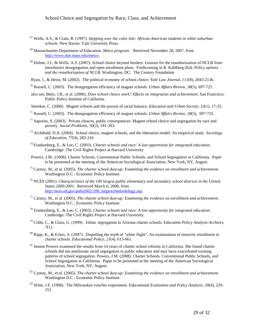- 67 Wells, A.S., & Crain, R. (1997). *Stepping over the color line: African American students in white suburban schools*. New Haven: Yale University Press.
- 68 Massachusetts Department of Education. *Metco program*. Retrieved November 28, 2007, from http://www.doe.mass.edu/metco.
- 69 Holme, J.J., & Wells, A.S. (2007). School choice beyond borders: Lessons for the reauthorization of NCLB from interdistrict desegregation and open enrollment plans. Forthcoming in R. Kahlberg (Ed). *Policy options and the reauthorization of NCLB.* Washington, DC: The Century Foundation
- Ryan, J., & Heise, M. (2002). The political economy of school choice*. Yale Law Journal, 111*(8), 2043-2136.
- 70 Rossell, C. (2003). The desegregation efficiency of magnet schools. *Urban Affairs Review, 38*(5), 697-725
- also see, Betts, J.R., et al. (2006). *Does school choice work? Effects on integration and achievement*. San Francisco: Public Policy Institute of California
- Smrekar, C. (2000). Magnet schools and the pursuit of racial balance. *Education and Urban Society, 33*(1), 17-35.
- 71 Rossell, C. (2003). The desegregation efficiency of magnet schools*. Urban Affairs Review, 38*(5), 697-725.
- $72$  Saporito, S. (2003). Private choices, public consequences: Magnet school choice and segregation by race and poverty. *Social Problems, 50*(2), 181-203.
- 73 Archibald, D.A. (2004). School choice, magnet schools, and the liberation model: An empirical study. *Sociology of Education, 77*(4), 283-310.
- 74 Frankenberg, E., & Lee, C. (2003). *Charter schools and race: A lost opportunity for integrated education.* Cambridge: The Civil Rights Project at Harvard University
- Powers, J.M., (2008). Charter Schools, Conventional Public Schools, and School Segregation in California. Paper to be presented at the meeting of the American Sociological Association, New York, NY, August.
- 75 Carnoy, M., et al. (2005). *The charter school dust-up: Examining the evidence on enrollment and achievement*. Washington D.C.: Economic Policy Institute.
- 76 NCES (2001). *Characteristics of the 100 largest public elementary and secondary school districts in the United States 2000-2001*. Retrieved March 6, 2008, from http://nces.ed.gov/pubs2002/100\_largest/methodology.asp.
- 77 Carnoy, M., et al. (2005). *The charter school dust-up: Examining the evidence on enrollment and achievement*. Washington D.C.: Economic Policy Institute.
- 78 Frankenberg, E., & Lee, C. (2003). *Charter schools and race: A lost opportunity for integrated education.* Cambridge: The Civil Rights Project at Harvard University.
- 79 Cobb, C., & Glass, G. (1999). Ethnic segregation in Arizona charter schools*. Education Policy Analysis Archives, 7*(1).
- $80$  Rapp, K., & Eckes, S. (2007). Dispelling the myth of "white flight": An examination of minority enrollment in charter schools. *Educational Policy, 21*(4), 615-661.
- <sup>81</sup> Jeanne Powers examined the results from 14 years of charter school reforms in California. She found charter schools did not ameliorate racial segregation in public education and may have exacerbated existing patterns of school segregation. Powers, J.M. (2008). Charter Schools, Conventional Public Schools, and School Segregation in California. Paper to be presented at the meeting of the American Sociological Association, New York, NY, August.
- 82 Carnoy, M., et al. (2005). *The charter school dust-up: Examining the evidence on enrollment and achievement*. Washington D.C.: Economic Policy Institute.
- 83 Witte, J.F. (1998). The Milwaukee voucher experiment*. Educational Evaluation and Policy Analysis, 20*(4), 229- 251.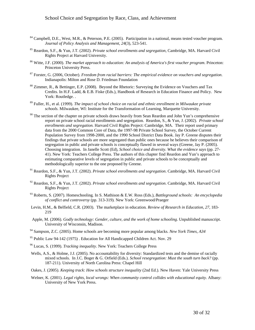- $84$  Campbell, D.E., West, M.R., & Peterson, P.E. (2005). Participation in a national, means tested voucher program. *Journal of Policy Analysis and Management, 24*(3), 523-541.
- 85 Reardon, S.F., & Yun, J.T. (2002). *Private school enrollments and segregation*, Cambridge, MA. Harvard Civil Rights Project at Harvard University.
- 86 Witte, J.F. (2000). *The market approach to education: An analysis of America's first voucher program*. Princeton: Princeton University Press.
- 87 Forster, G. (2006, October). *Freedom from racial barriers: The empirical evidence on vouchers and segregation*. Indianapolis: Milton and Rose D. Friedman Foundation
- 88 Zimmer, R., & Bettinger, E.P. (2008). Beyond the Rhetoric: Surveying the Evidence on Vouchers and Tax Credits. In H.F. Ladd, & E.B. Fiske (Eds.), Handbook of Research in Education Finance and Policy. New York: Routledge. .
- 89 Fuller, H., et al. (1999). *The impact of school choice on racial and ethnic enrollment in Milwaukee private schools*. Milwaukee, WI: Institute for the Transformation of Learning, Marquette University.
- <sup>90</sup> The section of the chapter on private schools draws heavily from Sean Reardon and John Yun's comprehensive report on private school racial enrollments and segregation. Reardon, S., & Yun, J. (2002). *Private school enrollments and segregation.* Harvard Civil Rights Project: Cambridge, MA. Their report used primary data from the 2000 Common Core of Data, the 1997-98 Private School Survey, the October Current Population Survey from 1998-2000, and the 1990 School District Data Book. Jay P. Greene disputes their findings that private schools are more segregated than public ones because he believes their comparison of segregation in public and private schools is conceptually flawed in several ways (Greene, Jay P. (2005). Choosing integration. In Janelle Scott (Ed), *School choice and diversity. What the evidence says* (pp. 27- 41). New York: Teachers College Press. The authors of this chapter find Reardon and Yun's approach to estimating comparative levels of segregation in public and private schools to be conceptually and methodologically superior to the one proposed by Greene.
- 91 Reardon, S.F., & Yun, J.T. (2002). *Private school enrollments and segregation*. Cambridge, MA. Harvard Civil Rights Project
- 92 Reardon, S.F., & Yun, J.T. (2002). *Private school enrollments and segregation*. Cambridge, MA. Harvard Civil Rights Project
- 93 Roberts, S. (2007). Homeschooling*.* In S. Mathison & E.W. Ross (Eds.), *Battleground schools: An encyclopedia of conflict and controversy* (pp. 313-319)*.* New York: Greenwood/Praeger
- Levin, H.M., & Belfield, C.R. (2003). The marketplace in education*. Review of Research in Education, 27*, 183- 219
- Apple, M. (2006). *Godly technology: Gender, culture, and the work of home schooling*. Unpublished manuscript. University of Wisconsin, Madison.
- 94 Sampson, Z.C. (2005). Home schools are becoming more popular among blacks. *New York Times*, *A34*
- <sup>95</sup> Public Law 94-142 (1975). Education for All Handicapped Children Act. Nov. 29
- 96 Lucas, S. (1999). *Tracking inequality*. New York: Teachers College Press
- Wells, A.S., & Holme, J.J. (2005). No accountability for diversity: Standardized tests and the demise of racially mixed schools. In J.C. Boger & G. Orfield (Eds.). *School resegregation: Must the south turn back?* (pp. 187-211). University of North Carolina Press: Chapel Hill
- Oakes, J. (2005). *Keeping track: How schools structure inequality* (2nd Ed.). New Haven: Yale University Press
- Welner, K. (2001). *Legal rights, local wrongs: When community control collides with educational equity*. Albany: University of New York Press.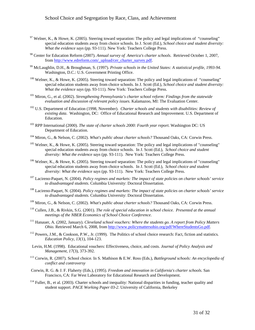- $97$  Welner, K., & Howe, K. (2005). Steering toward separation: The policy and legal implications of "counseling" special education students away from choice schools. In J. Scott (Ed.), *School choice and student diversity: What the evidence says* (pp. 93-111). New York: Teachers College Press.
- 98 Center for Education Reform (2007). *Annual survey of America's charter schools*. Retrieved October 1, 2007, from http://www.edreform.com/\_upload/cer\_charter\_survey.pdf.
- 99 McLaughlin, D.H., & Broughman, S. (1997). *Private schools in the United States: A statistical profile, 1993-94*. Washington, D.C.: U.S. Government Printing Office.
- $100$  Welner, K., & Howe, K. (2005). Steering toward separation: The policy and legal implications of "counseling" special education students away from choice schools. In J. Scott (Ed.), *School choice and student diversity: What the evidence says* (pp. 93-111). New York: Teachers College Press.
- 101 Miron, G., et al. (2002). *Strengthening Pennsylvania's charter school reform: Findings from the statewide evaluation and discussion of relevant policy issues*. Kalamazoo, MI: The Evaluation Center.
- <sup>102</sup> U.S. Department of Education (1998, November). *Charter schools and students with disabilities: Review of existing data*. Washington, DC: Office of Educational Research and Improvement. U.S. Department of Education.
- 103 RPP International (2000). *The state of charter schools 2000: Fourth year report*. Washington DC: US Department of Education.
- 104 Miron, G., & Nelson, C. (2002). *What's public about charter schools?* Thousand Oaks, CA: Corwin Press.
- $105$  Welner, K., & Howe, K. (2005). Steering toward separation: The policy and legal implications of "counseling" special education students away from choice schools. In J. Scott (Ed.), *School choice and student diversity: What the evidence says* (pp. 93-111). New York: Teachers College Press.
- <sup>106</sup> Welner, K., & Howe, K. (2005). Steering toward separation: The policy and legal implications of "counseling" special education students away from choice schools. In J. Scott (Ed.), *School choice and student diversity: What the evidence says* (pp. 93-111). New York: Teachers College Press.
- 107 Lacireno-Paquet, N. (2004). *Policy regimes and markets: The impact of state policies on charter schools' service to disadvantaged students*. Columbia University: Doctoral Dissertation.
- 108 Lacireno-Paquet, N. (2004). *Policy regimes and markets: The impact of state policies on charter schools' service to disadvantaged students*. Columbia University: Doctoral Dissertation.
- 109 Miron, G., & Nelson, C. (2002). *What's public about charter schools?* Thousand Oaks, CA: Corwin Press.
- 110 Cullen, J.B., & Rivkin, S.G. (2001). *The role of special education in school choice. Presented at the annual meetings of the NBER Economics of School Choice Conference*.
- 111 Hanauer, A. (2002, January). *Cleveland school vouchers: Where the students go. A report from Policy Matters Ohio.* Retrieved March 6, 2008, from http://www.policymattersohio.org/pdf/WhereStudentsGo.pdf.
- 112 Powers, J.M., & Cookson, P.W., Jr. (1999). The Politics of school choice research: Fact, fiction and statistics*. Education Policy, 13*(1), 104-123.
- Levin, H.M. (1998). Educational vouchers: Effectiveness, choice, and costs. *Journal of Policy Analysis and Management, 17*(3), 373-392.
- 113 Corwin, R. (2007). School choice. In S. Mathison & E.W. Ross (Eds.), *Battleground schools: An encyclopedia of conflict and controversy*
- Corwin, R. G. & J. F. Flaherty (Eds.), (1995). *Freedom and innovation in California's charter schools*. San Francisco, CA: Far West Laboratory for Educational Research and Development.
- $114$  Fuller, B., et al. (2003). Charter schools and inequality: National disparities in funding, teacher quality and student support. *PACE Working Paper 03-2*. University of California, Berkeley